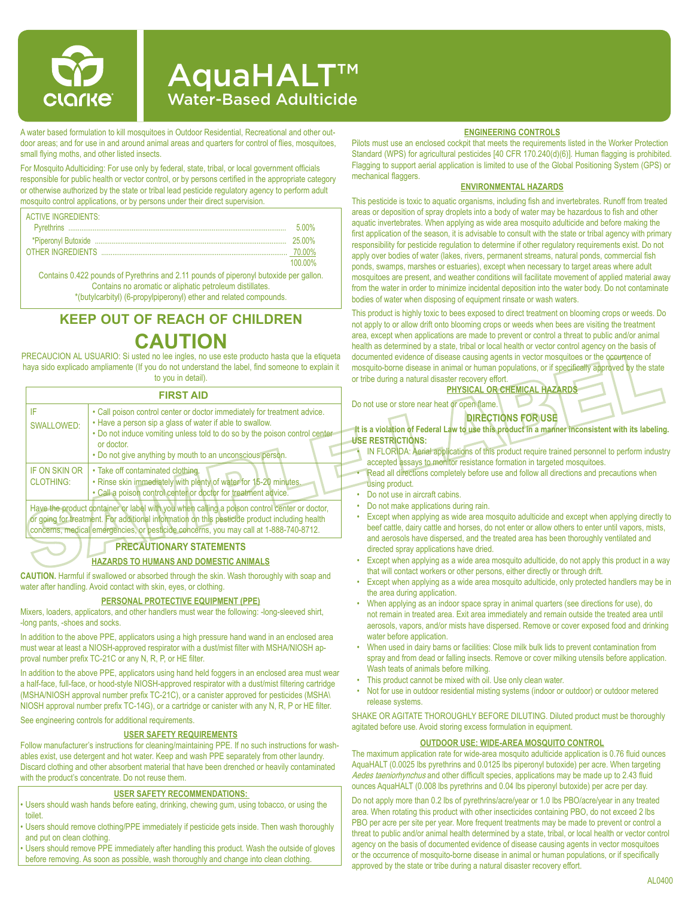

# AquaHALT™ Water-Based Adulticide

A water based formulation to kill mosquitoes in Outdoor Residential, Recreational and other outdoor areas; and for use in and around animal areas and quarters for control of flies, mosquitoes, small flying moths, and other listed insects.

For Mosquito Adulticiding: For use only by federal, state, tribal, or local government officials responsible for public health or vector control, or by persons certified in the appropriate category or otherwise authorized by the state or tribal lead pesticide regulatory agency to perform adult mosquito control applications, or by persons under their direct supervision.

| <b>ACTIVE INGREDIENTS:</b> |         |
|----------------------------|---------|
|                            | 500%    |
|                            | 25 00%  |
|                            | 70 00%  |
|                            | 100 00% |

Contains 0.422 pounds of Pyrethrins and 2.11 pounds of piperonyl butoxide per gallon. Contains no aromatic or aliphatic petroleum distillates.

\*(butylcarbityl) (6-propylpiperonyl) ether and related compounds.

# **KEEP OUT OF REACH OF CHILDREN CAUTION**

PRECAUCION AL USUARIO: Si usted no lee ingles, no use este producto hasta que la etiqueta haya sido explicado ampliamente (If you do not understand the label, find someone to explain it to you in detail).

### **FIRST AID**

|                                          | FIRƏ I AID                                                                                                                                                                                                                                                                                    |
|------------------------------------------|-----------------------------------------------------------------------------------------------------------------------------------------------------------------------------------------------------------------------------------------------------------------------------------------------|
| IF<br><b>SWALLOWED:</b>                  | • Call poison control center or doctor immediately for treatment advice.<br>• Have a person sip a glass of water if able to swallow.<br>. Do not induce vomiting unless told to do so by the poison control center<br>or doctor.<br>. Do not give anything by mouth to an unconscious person. |
| <b>IF ON SKIN OR</b><br><b>CLOTHING:</b> | • Take off contaminated clothing.<br>. Rinse skin immediately with plenty of water for 15-20 minutes.<br>. Call a poison control center or doctor for treatment advice.                                                                                                                       |

Have the product container or label with you when calling a poison control center or doctor, or going for treatment. For additional information on this pesticide product including health concerns, medical emergencies, or pesticide concerns, you may call at 1-888-740-8712.

## **PRECAUTIONARY STATEMENTS**

### **HAZARDS TO HUMANS AND DOMESTIC ANIMALS**

**CAUTION.** Harmful if swallowed or absorbed through the skin. Wash thoroughly with soap and water after handling. Avoid contact with skin, eyes, or clothing.

#### **PERSONAL PROTECTIVE EQUIPMENT (PPE)**

Mixers, loaders, applicators, and other handlers must wear the following: -long-sleeved shirt, -long pants, -shoes and socks.

In addition to the above PPE, applicators using a high pressure hand wand in an enclosed area must wear at least a NIOSH-approved respirator with a dust/mist filter with MSHA/NIOSH approval number prefix TC-21C or any N, R, P, or HE filter.

In addition to the above PPE, applicators using hand held foggers in an enclosed area must wear a half-face, full-face, or hood-style NIOSH-approved respirator with a dust/mist filtering cartridge (MSHA/NIOSH approval number prefix TC-21C), or a canister approved for pesticides (MSHA\ NIOSH approval number prefix TC-14G), or a cartridge or canister with any N, R, P or HE filter.

See engineering controls for additional requirements.

### **USER SAFETY REQUIREMENTS**

Follow manufacturer's instructions for cleaning/maintaining PPE. If no such instructions for washables exist, use detergent and hot water. Keep and wash PPE separately from other laundry. Discard clothing and other absorbent material that have been drenched or heavily contaminated with the product's concentrate. Do not reuse them.

### **USER SAFETY RECOMMENDATIONS:**

- Users should wash hands before eating, drinking, chewing gum, using tobacco, or using the toilet.
- Users should remove clothing/PPE immediately if pesticide gets inside. Then wash thoroughly and put on clean clothing.

• Users should remove PPE immediately after handling this product. Wash the outside of gloves before removing. As soon as possible, wash thoroughly and change into clean clothing.

#### **ENGINEERING CONTROLS**

Pilots must use an enclosed cockpit that meets the requirements listed in the Worker Protection Standard (WPS) for agricultural pesticides [40 CFR 170.240(d)(6)]. Human flagging is prohibited. Flagging to support aerial application is limited to use of the Global Positioning System (GPS) or mechanical flaggers.

### **ENVIRONMENTAL HAZARDS**

This pesticide is toxic to aquatic organisms, including fish and invertebrates. Runoff from treated areas or deposition of spray droplets into a body of water may be hazardous to fish and other aquatic invertebrates. When applying as wide area mosquito adulticide and before making the first application of the season, it is advisable to consult with the state or tribal agency with primary responsibility for pesticide regulation to determine if other regulatory requirements exist. Do not apply over bodies of water (lakes, rivers, permanent streams, natural ponds, commercial fish ponds, swamps, marshes or estuaries), except when necessary to target areas where adult mosquitoes are present, and weather conditions will facilitate movement of applied material away from the water in order to minimize incidental deposition into the water body. Do not contaminate bodies of water when disposing of equipment rinsate or wash waters.

This product is highly toxic to bees exposed to direct treatment on blooming crops or weeds. Do not apply to or allow drift onto blooming crops or weeds when bees are visiting the treatment area, except when applications are made to prevent or control a threat to public and/or animal health as determined by a state, tribal or local health or vector control agency on the basis of documented evidence of disease causing agents in vector mosquitoes or the occurrence of mosquito-borne disease in animal or human populations, or if specifically approved by the state or tribe during a natural disaster recovery effort.

### **PHYSICAL OR CHEMICAL HAZARDS**

Do not use or store near heat or open flame.

### **DIRECTIONS FOR USE**

**It is a violation of Federal Law to use this product in a manner inconsistent with its labeling. USE RESTRICTIONS:**

- IN FLORIDA: Aerial applications of this product require trained personnel to perform industry accepted assays to monitor resistance formation in targeted mosquitoes.
- Read all directions completely before use and follow all directions and precautions when using product.
- Do not use in aircraft cabins.
- Do not make applications during rain.<br>• Except when applying as wide area m
- Except when applying as wide area mosquito adulticide and except when applying directly to beef cattle, dairy cattle and horses, do not enter or allow others to enter until vapors, mists, and aerosols have dispersed, and the treated area has been thoroughly ventilated and directed spray applications have dried.
- Except when applying as a wide area mosquito adulticide, do not apply this product in a way that will contact workers or other persons, either directly or through drift.
- Except when applying as a wide area mosquito adulticide, only protected handlers may be in the area during application.
- When applying as an indoor space spray in animal quarters (see directions for use), do not remain in treated area. Exit area immediately and remain outside the treated area until aerosols, vapors, and/or mists have dispersed. Remove or cover exposed food and drinking water before application.
- When used in dairy barns or facilities: Close milk bulk lids to prevent contamination from spray and from dead or falling insects. Remove or cover milking utensils before application. Wash teats of animals before milking.
- This product cannot be mixed with oil. Use only clean water.
- Not for use in outdoor residential misting systems (indoor or outdoor) or outdoor metered release systems.

SHAKE OR AGITATE THOROUGHLY BEFORE DILUTING. Diluted product must be thoroughly agitated before use. Avoid storing excess formulation in equipment.

#### **OUTDOOR USE: WIDE-AREA MOSQUITO CONTROL**

The maximum application rate for wide-area mosquito adulticide application is 0.76 fluid ounces AquaHALT (0.0025 lbs pyrethrins and 0.0125 lbs piperonyl butoxide) per acre. When targeting Aedes taeniorhynchus and other difficult species, applications may be made up to 2.43 fluid ounces AquaHALT (0.008 lbs pyrethrins and 0.04 lbs piperonyl butoxide) per acre per day.

Do not apply more than 0.2 lbs of pyrethrins/acre/year or 1.0 lbs PBO/acre/year in any treated area. When rotating this product with other insecticides containing PBO, do not exceed 2 lbs PBO per acre per site per year. More frequent treatments may be made to prevent or control a threat to public and/or animal health determined by a state, tribal, or local health or vector control agency on the basis of documented evidence of disease causing agents in vector mosquitoes or the occurrence of mosquito-borne disease in animal or human populations, or if specifically approved by the state or tribe during a natural disaster recovery effort.